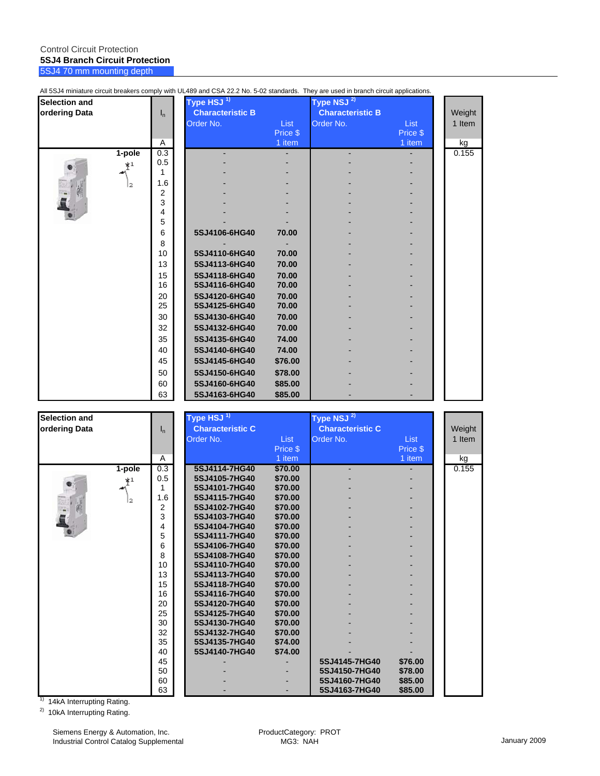#### Control Circuit Protection **5SJ4 Branch Circuit Protection** 5SJ4 70 mm mounting depth

| <b>Selection and</b> |        |                     | Type HSJ <sup>1)</sup>  |             | Type NSJ <sup>2)</sup>  |             |        |
|----------------------|--------|---------------------|-------------------------|-------------|-------------------------|-------------|--------|
| ordering Data        |        | $I_n$               | <b>Characteristic B</b> |             | <b>Characteristic B</b> |             | Weight |
|                      |        |                     | Order No.               | <b>List</b> | Order No.               | <b>List</b> | 1 Item |
|                      |        |                     |                         | Price \$    |                         | Price \$    |        |
|                      |        | Α                   |                         | 1 item      |                         | 1 item      | kg     |
|                      | 1-pole | 0.3                 |                         |             |                         |             | 0.155  |
|                      | $*1$   | 0.5                 |                         |             |                         |             |        |
|                      |        |                     |                         |             |                         |             |        |
|                      | 12     | 1.6                 |                         |             |                         |             |        |
|                      |        | $\overline{2}$<br>3 |                         |             |                         |             |        |
|                      |        | 4                   |                         |             |                         |             |        |
|                      |        | 5                   |                         |             |                         |             |        |
|                      |        | 6                   | 5SJ4106-6HG40           | 70.00       |                         |             |        |
|                      |        | 8                   |                         |             |                         |             |        |
|                      |        | 10                  | 5SJ4110-6HG40           | 70.00       |                         |             |        |
|                      |        | 13                  | 5SJ4113-6HG40           | 70.00       |                         |             |        |
|                      |        | 15                  | 5SJ4118-6HG40           | 70.00       |                         |             |        |
|                      |        | 16                  | 5SJ4116-6HG40           | 70.00       |                         |             |        |
|                      |        | 20                  | 5SJ4120-6HG40           | 70.00       |                         |             |        |
|                      |        | 25                  | 5SJ4125-6HG40           | 70.00       |                         |             |        |
|                      |        | 30                  | 5SJ4130-6HG40           | 70.00       |                         |             |        |
|                      |        | 32                  | 5SJ4132-6HG40           | 70.00       |                         |             |        |
|                      |        | 35                  | 5SJ4135-6HG40           | 74.00       |                         |             |        |
|                      |        | 40                  | 5SJ4140-6HG40           | 74.00       |                         |             |        |
|                      |        | 45                  | 5SJ4145-6HG40           | \$76.00     |                         |             |        |
|                      |        | 50                  | 5SJ4150-6HG40           | \$78.00     |                         |             |        |
|                      |        | 60                  | 5SJ4160-6HG40           | \$85.00     |                         |             |        |
|                      |        | 63                  | 5SJ4163-6HG40           | \$85.00     |                         |             |        |

All 5SJ4 miniature circuit breakers comply with UL489 and CSA 22.2 No. 5-02 standards. They are used in branch circuit applications.

| <b>Selection and</b> |        |                | Type HSJ <sup>1)</sup>  |          | Type NSJ <sup>2)</sup>  |             |        |
|----------------------|--------|----------------|-------------------------|----------|-------------------------|-------------|--------|
| ordering Data        |        | ı <sub>n</sub> | <b>Characteristic C</b> |          | <b>Characteristic C</b> |             | Weight |
|                      |        |                | Order No.               | List     | Order No.               | <b>List</b> | 1 Item |
|                      |        |                |                         | Price \$ |                         | Price \$    |        |
|                      |        | A              |                         | 1 item   |                         | 1 item      | kg     |
|                      | 1-pole | 0.3            | 5SJ4114-7HG40           | \$70.00  |                         |             | 0.155  |
|                      | $*1$   | 0.5            | 5SJ4105-7HG40           | \$70.00  |                         |             |        |
|                      |        | 1              | 5SJ4101-7HG40           | \$70.00  |                         |             |        |
|                      | l2     | 1.6            | 5SJ4115-7HG40           | \$70.00  |                         |             |        |
|                      |        | $\overline{2}$ | 5SJ4102-7HG40           | \$70.00  |                         |             |        |
|                      |        | 3              | 5SJ4103-7HG40           | \$70.00  |                         |             |        |
|                      |        | 4              | 5SJ4104-7HG40           | \$70.00  |                         |             |        |
|                      |        | 5              | 5SJ4111-7HG40           | \$70.00  |                         |             |        |
|                      |        | 6              | 5SJ4106-7HG40           | \$70.00  |                         |             |        |
|                      |        | 8              | 5SJ4108-7HG40           | \$70.00  |                         |             |        |
|                      |        | 10             | 5SJ4110-7HG40           | \$70.00  |                         |             |        |
|                      |        | 13             | 5SJ4113-7HG40           | \$70.00  |                         |             |        |
|                      |        | 15             | 5SJ4118-7HG40           | \$70.00  |                         |             |        |
|                      |        | 16             | 5SJ4116-7HG40           | \$70.00  |                         |             |        |
|                      |        | 20             | 5SJ4120-7HG40           | \$70.00  |                         |             |        |
|                      |        | 25             | 5SJ4125-7HG40           | \$70.00  |                         |             |        |
|                      |        | 30             | 5SJ4130-7HG40           | \$70.00  |                         |             |        |
|                      |        | 32             | 5SJ4132-7HG40           | \$70.00  |                         |             |        |
|                      |        | 35             | 5SJ4135-7HG40           | \$74.00  |                         |             |        |
|                      |        | 40             | 5SJ4140-7HG40           | \$74.00  |                         |             |        |
|                      |        | 45             |                         |          | 5SJ4145-7HG40           | \$76.00     |        |
|                      |        | 50             |                         |          | 5SJ4150-7HG40           | \$78.00     |        |
|                      |        | 60             |                         |          | 5SJ4160-7HG40           | \$85.00     |        |
|                      |        | 63             |                         |          | 5SJ4163-7HG40           | \$85.00     |        |

<sup>1)</sup> 14kA Interrupting Rating.

<sup>2)</sup> 10kA Interrupting Rating.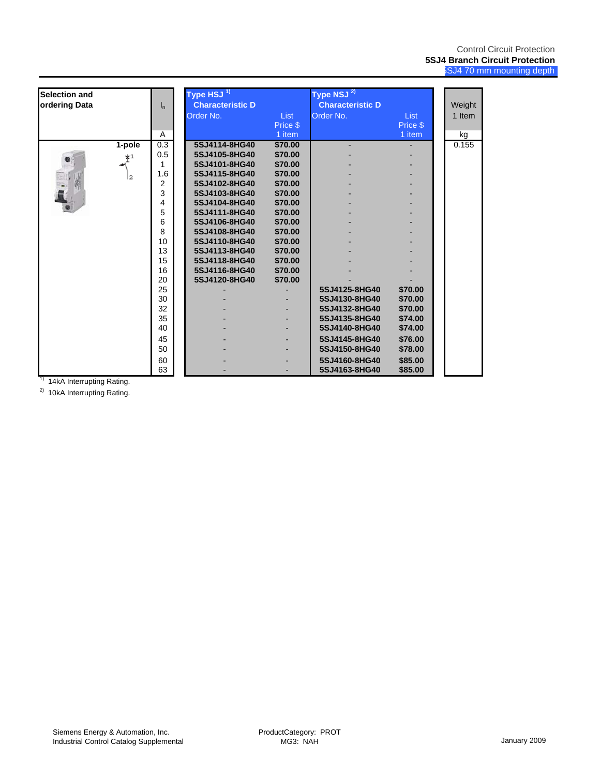| <b>Selection and</b> |          |         | Type HSJ <sup>1)</sup>  |          | Type NSJ <sup>2)</sup>  |          |        |
|----------------------|----------|---------|-------------------------|----------|-------------------------|----------|--------|
| ordering Data        |          | $I_{n}$ | <b>Characteristic D</b> |          | <b>Characteristic D</b> |          | Weight |
|                      |          |         | Order No.               | List     | Order No.               | List     | 1 Item |
|                      |          |         |                         | Price \$ |                         | Price \$ |        |
|                      |          | A       |                         | $1$ item |                         | 1 item   | kg     |
|                      | $1-pole$ | 0.3     | 5SJ4114-8HG40           | \$70.00  |                         |          | 0.155  |
|                      | $*^1$    | 0.5     | 5SJ4105-8HG40           | \$70.00  |                         |          |        |
|                      |          |         | 5SJ4101-8HG40           | \$70.00  |                         |          |        |
|                      | l2       | 1.6     | 5SJ4115-8HG40           | \$70.00  |                         |          |        |
|                      |          | 2       | 5SJ4102-8HG40           | \$70.00  |                         |          |        |
|                      |          | 3       | 5SJ4103-8HG40           | \$70.00  |                         |          |        |
|                      |          | 4       | 5SJ4104-8HG40           | \$70.00  |                         |          |        |
|                      |          | 5       | 5SJ4111-8HG40           | \$70.00  |                         |          |        |
|                      |          | 6       | 5SJ4106-8HG40           | \$70.00  |                         |          |        |
|                      |          | 8       | 5SJ4108-8HG40           | \$70.00  |                         |          |        |
|                      |          | 10      | 5SJ4110-8HG40           | \$70.00  |                         |          |        |
|                      |          | 13      | 5SJ4113-8HG40           | \$70.00  |                         |          |        |
|                      |          | 15      | 5SJ4118-8HG40           | \$70.00  |                         |          |        |
|                      |          | 16      | 5SJ4116-8HG40           | \$70.00  |                         |          |        |
|                      |          | 20      | 5SJ4120-8HG40           | \$70.00  |                         |          |        |
|                      |          | 25      |                         |          | 5SJ4125-8HG40           | \$70.00  |        |
|                      |          | 30      |                         |          | 5SJ4130-8HG40           | \$70.00  |        |
|                      |          | 32      |                         |          | 5SJ4132-8HG40           | \$70.00  |        |
|                      |          | 35      |                         |          | 5SJ4135-8HG40           | \$74.00  |        |
|                      |          | 40      |                         |          | 5SJ4140-8HG40           | \$74.00  |        |
|                      |          | 45      |                         |          | 5SJ4145-8HG40           | \$76.00  |        |
|                      |          | 50      |                         |          | 5SJ4150-8HG40           | \$78.00  |        |
|                      |          | 60      |                         |          | 5SJ4160-8HG40           | \$85.00  |        |
|                      |          | 63      |                         |          | 5SJ4163-8HG40           | \$85.00  |        |

 $1)$  14kA Interrupting Rating.

<sup>2)</sup> 10kA Interrupting Rating.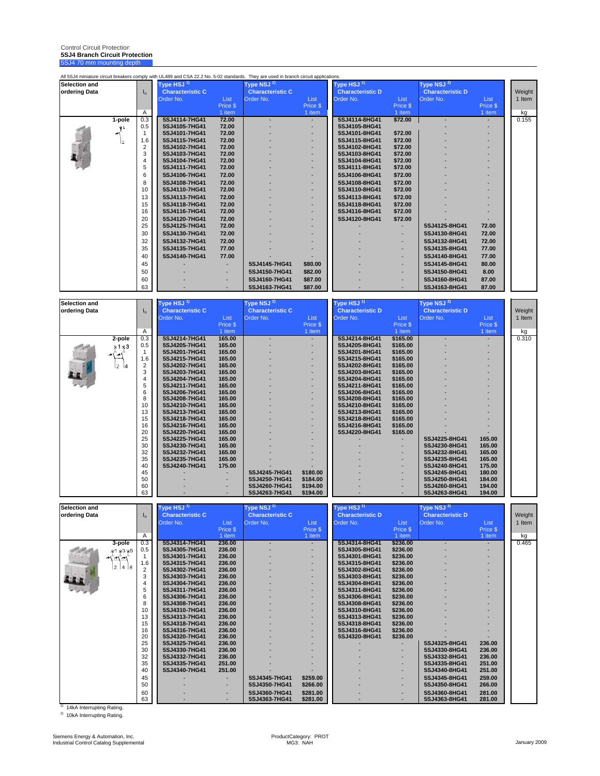Control Circuit Protection **5SJ4 Branch Circuit Protection** 5SJ4 70 mm mounting depth

|                      |                               |              | All 5SJ4 miniature circuit breakers comply with UL489 and CSA 22.2 No. 5-02 standards. They are used in branch circuit applications. |                    |                                      |                      |                                           |                      |                                      |                    |                  |
|----------------------|-------------------------------|--------------|--------------------------------------------------------------------------------------------------------------------------------------|--------------------|--------------------------------------|----------------------|-------------------------------------------|----------------------|--------------------------------------|--------------------|------------------|
| <b>Selection and</b> |                               |              | Type HSJ $^{\rm 1)}$                                                                                                                 |                    | Type NSJ <sup>2)</sup>               |                      | <code>[ype HSJ</code> $^{\rm 1)}$         |                      | Type NSJ <sup>2)</sup>               |                    |                  |
| ordering Data        |                               | $I_{n}$      | <b>Characteristic C</b><br>Order No.                                                                                                 | List               | <b>Characteristic C</b><br>Order No. | List                 | <b>Characteristic D</b><br>Order No.      | List                 | <b>Characteristic D</b><br>Order No. | List               | Weight<br>1 Item |
|                      |                               |              |                                                                                                                                      | Price \$           |                                      | Price \$             |                                           | Price \$             |                                      | Price \$           |                  |
|                      | 1-pole                        | Α<br>0.3     | 5SJ4114-7HG41                                                                                                                        | 1 item<br>72.00    |                                      | 1 item               | 5SJ4114-8HG41                             | 1 item<br>\$72.00    |                                      | 1 item             | kg<br>0.155      |
|                      | $*^1$                         | 0.5          | 5SJ4105-7HG41                                                                                                                        | 72.00              |                                      |                      | 5SJ4105-8HG41                             |                      |                                      |                    |                  |
|                      |                               | $\mathbf{1}$ | 5SJ4101-7HG41                                                                                                                        | 72.00              |                                      |                      | 5SJ4101-8HG41                             | \$72.00              |                                      |                    |                  |
|                      |                               | 1.6<br>2     | 5SJ4115-7HG41<br>5SJ4102-7HG41                                                                                                       | 72.00<br>72.00     |                                      |                      | 5SJ4115-8HG41<br>5SJ4102-8HG41            | \$72.00<br>\$72.00   |                                      |                    |                  |
|                      |                               | 3            | 5SJ4103-7HG41                                                                                                                        | 72.00              |                                      |                      | 5SJ4103-8HG41                             | \$72.00              |                                      |                    |                  |
|                      |                               | 4            | 5SJ4104-7HG41                                                                                                                        | 72.00              |                                      |                      | 5SJ4104-8HG41                             | \$72.00              |                                      |                    |                  |
|                      |                               | 5<br>6       | 5SJ4111-7HG41<br>5SJ4106-7HG41                                                                                                       | 72.00<br>72.00     |                                      |                      | 5SJ4111-8HG41<br>5SJ4106-8HG41            | \$72.00<br>\$72.00   |                                      |                    |                  |
|                      |                               | 8            | 5SJ4108-7HG41                                                                                                                        | 72.00              |                                      |                      | 5SJ4108-8HG41                             | \$72.00              |                                      |                    |                  |
|                      |                               | 10           | 5SJ4110-7HG41                                                                                                                        | 72.00              |                                      |                      | 5SJ4110-8HG41                             | \$72.00              |                                      |                    |                  |
|                      |                               | 13           | 5SJ4113-7HG41                                                                                                                        | 72.00              |                                      |                      | 5SJ4113-8HG41                             | \$72.00              |                                      |                    |                  |
|                      |                               | 15<br>16     | 5SJ4118-7HG41<br>5SJ4116-7HG41                                                                                                       | 72.00<br>72.00     |                                      |                      | 5SJ4118-8HG41<br>5SJ4116-8HG41            | \$72.00<br>\$72.00   |                                      |                    |                  |
|                      |                               | 20           | 5SJ4120-7HG41                                                                                                                        | 72.00              |                                      |                      | 5SJ4120-8HG41                             | \$72.00              |                                      |                    |                  |
|                      |                               | 25           | 5SJ4125-7HG41                                                                                                                        | 72.00              |                                      |                      |                                           |                      | 5SJ4125-8HG41                        | 72.00              |                  |
|                      |                               | 30           | 5SJ4130-7HG41                                                                                                                        | 72.00              |                                      |                      |                                           |                      | 5SJ4130-8HG41                        | 72.00              |                  |
|                      |                               | 32<br>35     | 5SJ4132-7HG41<br>5SJ4135-7HG41                                                                                                       | 72.00<br>77.00     |                                      |                      |                                           |                      | 5SJ4132-8HG41<br>5SJ4135-8HG41       | 72.00<br>77.00     |                  |
|                      |                               | 40           | 5SJ4140-7HG41                                                                                                                        | 77.00              |                                      |                      |                                           |                      | 5SJ4140-8HG41                        | 77.00              |                  |
|                      |                               | 45           |                                                                                                                                      |                    | 5SJ4145-7HG41                        | \$80.00              |                                           |                      | 5SJ4145-8HG41                        | 80.00              |                  |
|                      |                               | 50           |                                                                                                                                      |                    | 5SJ4150-7HG41                        | \$82.00              |                                           |                      | 5SJ4150-8HG41                        | 8.00               |                  |
|                      |                               | 60<br>63     |                                                                                                                                      |                    | 5SJ4160-7HG41                        | \$87.00              |                                           |                      | 5SJ4160-8HG41                        | 87.00              |                  |
|                      |                               |              |                                                                                                                                      |                    | 5SJ4163-7HG41                        | \$87.00              |                                           |                      | 5SJ4163-8HG41                        | 87.00              |                  |
| <b>Selection and</b> |                               |              | <code>[ype HSJ<math>^{\,1)}</math></code>                                                                                            |                    | Гуре NSJ $^{2)}$                     |                      | <code>[ype HSJ<math>^{\,1)}</math></code> |                      | Type NSJ <sup>2)</sup>               |                    |                  |
| ordering Data        |                               | $I_n$        | <b>Characteristic C</b>                                                                                                              |                    | <b>Characteristic C</b>              |                      | <b>Characteristic D</b>                   |                      | <b>Characteristic D</b>              |                    | Weight           |
|                      |                               |              | Order No.                                                                                                                            | List               | Order No.                            | List<br>Price \$     | Order No.                                 | List<br>Price \$     | Order No.                            | List               | 1 Item           |
|                      |                               | Α            |                                                                                                                                      | Price \$<br>1 item |                                      | $1$ item             |                                           | 1 item               |                                      | Price \$<br>1 item | kg               |
|                      | 2-pole                        | 0.3          | 5SJ4214-7HG41                                                                                                                        | 165.00             |                                      |                      | 5SJ4214-8HG41                             | \$165.00             |                                      |                    | 0.310            |
|                      | * <sup>1</sup> * <sup>3</sup> | 0.5<br>1     | 5SJ4205-7HG41<br>5SJ4201-7HG41                                                                                                       | 165.00<br>165.00   |                                      |                      | 5SJ4205-8HG41<br>5SJ4201-8HG41            | \$165.00<br>\$165.00 |                                      |                    |                  |
|                      |                               | 1.6          | 5SJ4215-7HG41                                                                                                                        | 165.00             |                                      |                      | 5SJ4215-8HG41                             | \$165.00             |                                      |                    |                  |
|                      | 2                             | 2            | 5SJ4202-7HG41                                                                                                                        | 165.00             |                                      |                      | 5SJ4202-8HG41                             | \$165.00             |                                      |                    |                  |
|                      |                               | 3<br>4       | 5SJ4203-7HG41<br>5SJ4204-7HG41                                                                                                       | 165.00<br>165.00   |                                      |                      | 5SJ4203-8HG41<br>5SJ4204-8HG41            | \$165.00<br>\$165.00 |                                      |                    |                  |
|                      |                               | 5            | 5SJ4211-7HG41                                                                                                                        | 165.00             |                                      |                      | 5SJ4211-8HG41                             | \$165.00             |                                      |                    |                  |
|                      |                               | 6<br>8       | 5SJ4206-7HG41<br>5SJ4208-7HG41                                                                                                       | 165.00<br>165.00   |                                      |                      | 5SJ4206-8HG41<br>5SJ4208-8HG41            | \$165.00<br>\$165.00 |                                      |                    |                  |
|                      |                               | 10           | 5SJ4210-7HG41                                                                                                                        | 165.00             |                                      |                      | 5SJ4210-8HG41                             | \$165.00             |                                      |                    |                  |
|                      |                               | 13<br>15     | 5SJ4213-7HG41                                                                                                                        | 165.00             |                                      |                      | 5SJ4213-8HG41                             | \$165.00             |                                      |                    |                  |
|                      |                               | 16           | 5SJ4218-7HG41<br>5SJ4216-7HG41                                                                                                       | 165.00<br>165.00   |                                      |                      | 5SJ4218-8HG41<br>5SJ4216-8HG41            | \$165.00<br>\$165.00 |                                      |                    |                  |
|                      |                               | 20           | 5SJ4220-7HG41                                                                                                                        | 165.00             |                                      |                      | 5SJ4220-8HG41                             | \$165.00             |                                      |                    |                  |
|                      |                               | 25<br>30     | 5SJ4225-7HG41<br>5SJ4230-7HG41                                                                                                       | 165.00<br>165.00   |                                      |                      |                                           |                      | 5SJ4225-8HG41<br>5SJ4230-8HG41       | 165.00<br>165.00   |                  |
|                      |                               | 32           | 5SJ4232-7HG41                                                                                                                        | 165.00             |                                      |                      |                                           |                      | 5SJ4232-8HG41                        | 165.00             |                  |
|                      |                               | 35           | 5SJ4235-7HG41                                                                                                                        | 165.00             |                                      |                      |                                           |                      | 5SJ4235-8HG41                        | 165.00             |                  |
|                      |                               | 40<br>45     | 5SJ4240-7HG41                                                                                                                        | 175.00             | 5SJ4245-7HG41                        | \$180.00             |                                           |                      | 5SJ4240-8HG41<br>5SJ4245-8HG41       | 175.00<br>180.00   |                  |
|                      |                               | 50           |                                                                                                                                      |                    | 5SJ4250-7HG41                        | \$184.00             |                                           |                      | 5SJ4250-8HG41                        | 184.00             |                  |
|                      |                               | 60<br>63     |                                                                                                                                      |                    | 5SJ4260-7HG41<br>5SJ4263-7HG41       | \$194.00<br>\$194.00 |                                           |                      | 5SJ4260-8HG41<br>5SJ4263-8HG41       | 194.00<br>194.00   |                  |
|                      |                               |              |                                                                                                                                      |                    |                                      |                      |                                           |                      |                                      |                    |                  |
| Selection and        |                               |              | Type HSJ <sup>1)</sup>                                                                                                               |                    | Type NSJ <sup>2)</sup>               |                      | Type HSJ <sup>1)</sup>                    |                      | Type NSJ <sup>2)</sup>               |                    |                  |
| ordering Data        |                               | $I_{n}$      | <b>Characteristic C</b><br>Order No.                                                                                                 | List               | <b>Characteristic C</b><br>Order No. | List                 | <b>Characteristic D</b><br>Order No.      | List                 | <b>Characteristic D</b><br>Order No. | List               | Weight<br>1 Item |
|                      |                               |              |                                                                                                                                      | Price \$           |                                      | Price \$             |                                           | Price \$             |                                      | Price \$           |                  |
|                      |                               | A            |                                                                                                                                      | 1 item             |                                      | 1 item               |                                           | 1 item               |                                      | 1 item             | kg               |
|                      | 3-pole<br>$*^1 *^3 *^5$       | 0.3<br>0.5   | 5SJ4314-7HG41<br>5SJ4305-7HG41                                                                                                       | 236.00<br>236.00   |                                      | ٠                    | 5SJ4314-8HG41<br>5SJ4305-8HG41            | \$236.00<br>\$236.00 |                                      |                    | 0.465            |
|                      |                               | $\mathbf{1}$ | 5SJ4301-7HG41                                                                                                                        | 236.00             |                                      |                      | 5SJ4301-8HG41                             | \$236.00             |                                      |                    |                  |
|                      | 2 4 6                         | 1.6<br>2     | 5SJ4315-7HG41<br>5SJ4302-7HG41                                                                                                       | 236.00<br>236.00   |                                      |                      | 5SJ4315-8HG41<br>5SJ4302-8HG41            | \$236.00<br>\$236.00 |                                      |                    |                  |
|                      |                               | 3            | 5SJ4303-7HG41                                                                                                                        | 236.00             |                                      |                      | 5SJ4303-8HG41                             | \$236.00             |                                      |                    |                  |
|                      |                               | 4            | 5SJ4304-7HG41                                                                                                                        | 236.00             |                                      |                      | 5SJ4304-8HG41                             | \$236.00             |                                      |                    |                  |
|                      |                               | 5<br>6       | 5SJ4311-7HG41<br>5SJ4306-7HG41                                                                                                       | 236.00<br>236.00   |                                      |                      | 5SJ4311-8HG41<br>5SJ4306-8HG41            | \$236.00<br>\$236.00 |                                      |                    |                  |
|                      |                               | 8            | 5SJ4308-7HG41                                                                                                                        | 236.00             |                                      |                      | 5SJ4308-8HG41                             | \$236.00             |                                      |                    |                  |
|                      |                               | 10<br>13     | 5SJ4310-7HG41<br>5SJ4313-7HG41                                                                                                       | 236.00<br>236.00   |                                      |                      | 5SJ4310-8HG41<br>5SJ4313-8HG41            | \$236.00<br>\$236.00 |                                      |                    |                  |
|                      |                               | 15           | 5SJ4318-7HG41                                                                                                                        | 236.00             |                                      |                      | 5SJ4318-8HG41                             | \$236.00             |                                      |                    |                  |
|                      |                               | 16<br>20     | 5SJ4316-7HG41                                                                                                                        | 236.00             |                                      |                      | 5SJ4316-8HG41                             | \$236.00             |                                      |                    |                  |
|                      |                               | 25           | 5SJ4320-7HG41<br>5SJ4325-7HG41                                                                                                       | 236.00<br>236.00   |                                      |                      | 5SJ4320-8HG41                             | \$236.00             | 5SJ4325-8HG41                        | 236.00             |                  |
|                      |                               | 30           | 5SJ4330-7HG41                                                                                                                        | 236.00             |                                      |                      |                                           |                      | 5SJ4330-8HG41                        | 236.00             |                  |
|                      |                               | 32<br>35     | 5SJ4332-7HG41<br>5SJ4335-7HG41                                                                                                       | 236.00<br>251.00   |                                      |                      |                                           |                      | 5SJ4332-8HG41<br>5SJ4335-8HG41       | 236.00<br>251.00   |                  |
|                      |                               | 40           | 5SJ4340-7HG41                                                                                                                        | 251.00             |                                      |                      |                                           |                      | 5SJ4340-8HG41                        | 251.00             |                  |

<sup>1)</sup> 14kA Interrupting Rating.

2) 10kA Interrupting Rating.

45 - - **5SJ4345-7HG41 \$259.00** - - **5SJ4345-8HG41 259.00** 50 - - **5SJ4350-7HG41 \$266.00** - - **5SJ4350-8HG41 266.00** 60 - - **5SJ4360-7HG41 \$281.00** - - **5SJ4360-8HG41 281.00** 63 - - **5SJ4363-7HG41 \$281.00** - - **5SJ4363-8HG41 281.00**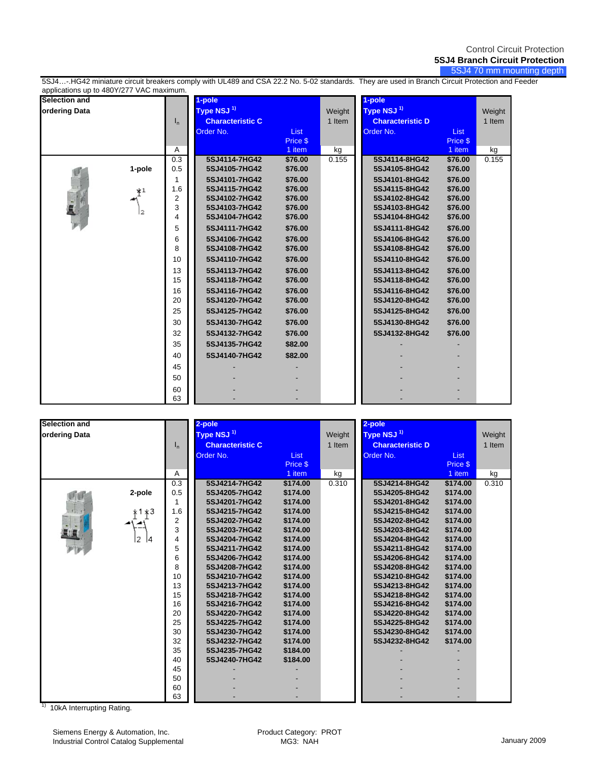5SJ4 70 mm mounting depth

5SJ4…-.HG42 miniature circuit breakers comply with UL489 and CSA 22.2 No. 5-02 standards. They are used in Branch Circuit Protection and Feeder applications up to 480Y/277 VAC maximum.

| 77 P<br>Selection and |        |         | 1-pole                         |                    |        | 1-pole                         |                    |        |
|-----------------------|--------|---------|--------------------------------|--------------------|--------|--------------------------------|--------------------|--------|
| ordering Data         |        |         | Type NSJ <sup>1)</sup>         |                    | Weight | Type NSJ <sup>1)</sup>         |                    | Weight |
|                       |        | $I_{n}$ | <b>Characteristic C</b>        |                    | 1 Item | <b>Characteristic D</b>        |                    | 1 Item |
|                       |        |         | Order No.                      | <b>List</b>        |        | Order No.                      | <b>List</b>        |        |
|                       |        |         |                                | Price \$           |        |                                | Price \$           |        |
|                       |        | Α       |                                | 1 item             | kg     |                                | 1 item             | kg     |
|                       |        | 0.3     | 5SJ4114-7HG42                  | \$76.00            | 0.155  | 5SJ4114-8HG42                  | \$76.00            | 0.155  |
|                       | 1-pole | 0.5     | 5SJ4105-7HG42                  | \$76.00            |        | 5SJ4105-8HG42                  | \$76.00            |        |
|                       |        | 1       | 5SJ4101-7HG42                  | \$76.00            |        | 5SJ4101-8HG42                  | \$76.00            |        |
|                       | $*^1$  | 1.6     | 5SJ4115-7HG42<br>5SJ4102-7HG42 | \$76.00            |        | 5SJ4115-8HG42<br>5SJ4102-8HG42 | \$76.00<br>\$76.00 |        |
|                       |        | 2<br>3  | 5SJ4103-7HG42                  | \$76.00<br>\$76.00 |        | 5SJ4103-8HG42                  | \$76.00            |        |
|                       | l2     | 4       | 5SJ4104-7HG42                  | \$76.00            |        | 5SJ4104-8HG42                  | \$76.00            |        |
|                       |        | 5       | 5SJ4111-7HG42                  | \$76.00            |        | 5SJ4111-8HG42                  | \$76.00            |        |
|                       |        | 6       | 5SJ4106-7HG42                  | \$76.00            |        | 5SJ4106-8HG42                  | \$76.00            |        |
|                       |        | 8       | 5SJ4108-7HG42                  | \$76.00            |        | 5SJ4108-8HG42                  | \$76.00            |        |
|                       |        | 10      | 5SJ4110-7HG42                  | \$76.00            |        | 5SJ4110-8HG42                  | \$76.00            |        |
|                       |        | 13      | 5SJ4113-7HG42                  | \$76.00            |        | 5SJ4113-8HG42                  | \$76.00            |        |
|                       |        | 15      | 5SJ4118-7HG42                  | \$76.00            |        | 5SJ4118-8HG42                  | \$76.00            |        |
|                       |        | 16      | 5SJ4116-7HG42                  | \$76.00            |        | 5SJ4116-8HG42                  | \$76.00            |        |
|                       |        | 20      | 5SJ4120-7HG42                  | \$76.00            |        | 5SJ4120-8HG42                  | \$76.00            |        |
|                       |        | 25      | 5SJ4125-7HG42                  | \$76.00            |        | 5SJ4125-8HG42                  | \$76.00            |        |
|                       |        | 30      | 5SJ4130-7HG42                  | \$76.00            |        | 5SJ4130-8HG42                  | \$76.00            |        |
|                       |        | 32      | 5SJ4132-7HG42                  | \$76.00            |        | 5SJ4132-8HG42                  | \$76.00            |        |
|                       |        | 35      | 5SJ4135-7HG42                  | \$82.00            |        |                                |                    |        |
|                       |        | 40      | 5SJ4140-7HG42                  | \$82.00            |        |                                |                    |        |
|                       |        | 45      |                                |                    |        |                                |                    |        |
|                       |        | 50      |                                |                    |        |                                |                    |        |
|                       |        | 60      |                                |                    |        |                                |                    |        |
|                       |        | 63      |                                |                    |        |                                |                    |        |

| Selection and |          |         | 2-pole                  |          |        | 2-pole                  |             |        |
|---------------|----------|---------|-------------------------|----------|--------|-------------------------|-------------|--------|
| ordering Data |          |         | Type NSJ <sup>1)</sup>  |          | Weight | Type NSJ <sup>1)</sup>  |             | Weight |
|               |          | $I_{n}$ | <b>Characteristic C</b> |          | 1 Item | <b>Characteristic D</b> |             | 1 Item |
|               |          |         | Order No.               | List     |        | Order No.               | <b>List</b> |        |
|               |          |         |                         | Price \$ |        |                         | Price \$    |        |
|               |          | Α       |                         | 1 item   | kg     |                         | 1 item      | kg     |
|               |          | 0.3     | 5SJ4214-7HG42           | \$174.00 | 0.310  | 5SJ4214-8HG42           | \$174.00    | 0.310  |
|               | 2-pole   | 0.5     | 5SJ4205-7HG42           | \$174.00 |        | 5SJ4205-8HG42           | \$174.00    |        |
|               |          |         | 5SJ4201-7HG42           | \$174.00 |        | 5SJ4201-8HG42           | \$174.00    |        |
|               | *1 ∗З    | 1.6     | 5SJ4215-7HG42           | \$174.00 |        | 5SJ4215-8HG42           | \$174.00    |        |
|               |          | 2       | 5SJ4202-7HG42           | \$174.00 |        | 5SJ4202-8HG42           | \$174.00    |        |
|               |          | 3       | 5SJ4203-7HG42           | \$174.00 |        | 5SJ4203-8HG42           | \$174.00    |        |
|               | l2<br>14 | 4       | 5SJ4204-7HG42           | \$174.00 |        | 5SJ4204-8HG42           | \$174.00    |        |
|               |          | 5       | 5SJ4211-7HG42           | \$174.00 |        | 5SJ4211-8HG42           | \$174.00    |        |
|               |          | 6       | 5SJ4206-7HG42           | \$174.00 |        | 5SJ4206-8HG42           | \$174.00    |        |
|               |          | 8       | 5SJ4208-7HG42           | \$174.00 |        | 5SJ4208-8HG42           | \$174.00    |        |
|               |          | 10      | 5SJ4210-7HG42           | \$174.00 |        | 5SJ4210-8HG42           | \$174.00    |        |
|               |          | 13      | 5SJ4213-7HG42           | \$174.00 |        | 5SJ4213-8HG42           | \$174.00    |        |
|               |          | 15      | 5SJ4218-7HG42           | \$174.00 |        | 5SJ4218-8HG42           | \$174.00    |        |
|               |          | 16      | 5SJ4216-7HG42           | \$174.00 |        | 5SJ4216-8HG42           | \$174.00    |        |
|               |          | 20      | 5SJ4220-7HG42           | \$174.00 |        | 5SJ4220-8HG42           | \$174.00    |        |
|               |          | 25      | 5SJ4225-7HG42           | \$174.00 |        | 5SJ4225-8HG42           | \$174.00    |        |
|               |          | 30      | 5SJ4230-7HG42           | \$174.00 |        | 5SJ4230-8HG42           | \$174.00    |        |
|               |          | 32      | 5SJ4232-7HG42           | \$174.00 |        | 5SJ4232-8HG42           | \$174.00    |        |
|               |          | 35      | 5SJ4235-7HG42           | \$184.00 |        |                         |             |        |
|               |          | 40      | 5SJ4240-7HG42           | \$184.00 |        |                         |             |        |
|               |          | 45      |                         |          |        |                         |             |        |
|               |          | 50      |                         |          |        |                         |             |        |
|               |          | 60      |                         |          |        |                         |             |        |
|               |          | 63      |                         |          |        |                         |             |        |

<sup>1)</sup> 10kA Interrupting Rating.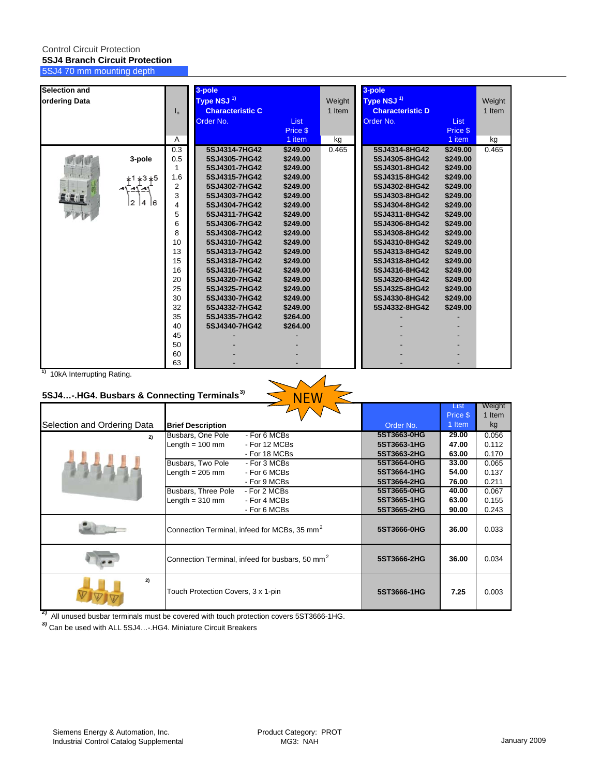### Control Circuit Protection **5SJ4 Branch Circuit Protection** 5SJ4 70 mm mounting depth

| <b>Selection and</b> |          |       | 3-pole                  |             |        | 3-pole                  |             |        |
|----------------------|----------|-------|-------------------------|-------------|--------|-------------------------|-------------|--------|
| ordering Data        |          |       | Type NSJ <sup>1)</sup>  |             | Weight | Type NSJ <sup>1)</sup>  |             | Weight |
|                      |          | $I_n$ | <b>Characteristic C</b> |             | 1 Item | <b>Characteristic D</b> |             | 1 Item |
|                      |          |       | Order No.               | <b>List</b> |        | Order No.               | <b>List</b> |        |
|                      |          |       |                         | Price \$    |        |                         | Price \$    |        |
|                      |          | Α     |                         | 1 item      | kg     |                         | 1 item      | kg     |
|                      |          | 0.3   | 5SJ4314-7HG42           | \$249.00    | 0.465  | 5SJ4314-8HG42           | \$249.00    | 0.465  |
|                      | 3-pole   | 0.5   | 5SJ4305-7HG42           | \$249.00    |        | 5SJ4305-8HG42           | \$249.00    |        |
|                      |          | 1     | 5SJ4301-7HG42           | \$249.00    |        | 5SJ4301-8HG42           | \$249.00    |        |
|                      | *1 *3 *5 | 1.6   | 5SJ4315-7HG42           | \$249.00    |        | 5SJ4315-8HG42           | \$249.00    |        |
|                      |          | 2     | 5SJ4302-7HG42           | \$249.00    |        | 5SJ4302-8HG42           | \$249.00    |        |
|                      |          | 3     | 5SJ4303-7HG42           | \$249.00    |        | 5SJ4303-8HG42           | \$249.00    |        |
|                      | 2<br>4 6 | 4     | 5SJ4304-7HG42           | \$249.00    |        | 5SJ4304-8HG42           | \$249.00    |        |
|                      |          | 5     | 5SJ4311-7HG42           | \$249.00    |        | 5SJ4311-8HG42           | \$249.00    |        |
|                      |          | 6     | 5SJ4306-7HG42           | \$249.00    |        | 5SJ4306-8HG42           | \$249.00    |        |
|                      |          | 8     | 5SJ4308-7HG42           | \$249.00    |        | 5SJ4308-8HG42           | \$249.00    |        |
|                      |          | 10    | 5SJ4310-7HG42           | \$249.00    |        | 5SJ4310-8HG42           | \$249.00    |        |
|                      |          | 13    | 5SJ4313-7HG42           | \$249.00    |        | 5SJ4313-8HG42           | \$249.00    |        |
|                      |          | 15    | 5SJ4318-7HG42           | \$249.00    |        | 5SJ4318-8HG42           | \$249.00    |        |
|                      |          | 16    | 5SJ4316-7HG42           | \$249.00    |        | 5SJ4316-8HG42           | \$249.00    |        |
|                      |          | 20    | 5SJ4320-7HG42           | \$249.00    |        | 5SJ4320-8HG42           | \$249.00    |        |
|                      |          | 25    | 5SJ4325-7HG42           | \$249.00    |        | 5SJ4325-8HG42           | \$249.00    |        |
|                      |          | 30    | 5SJ4330-7HG42           | \$249.00    |        | 5SJ4330-8HG42           | \$249.00    |        |
|                      |          | 32    | 5SJ4332-7HG42           | \$249.00    |        | 5SJ4332-8HG42           | \$249.00    |        |
|                      |          | 35    | 5SJ4335-7HG42           | \$264.00    |        |                         |             |        |
|                      |          | 40    | 5SJ4340-7HG42           | \$264.00    |        |                         |             |        |
|                      |          | 45    |                         |             |        |                         |             |        |
|                      |          | 50    |                         |             |        |                         |             |        |
|                      |          | 60    |                         |             |        |                         |             |        |
|                      |          | 63    |                         |             |        |                         |             |        |

**1)** 10kA Interrupting Rating.

## **5SJ4…-.HG4. Busbars & Connecting Terminals3)**

| <u>Fold Christianus Framid:</u><br>5SJ4-.HG4. Busbars & Connecting Terminals <sup>3)</sup> |                                                             |             |                  |                  |
|--------------------------------------------------------------------------------------------|-------------------------------------------------------------|-------------|------------------|------------------|
|                                                                                            |                                                             |             | List<br>Price \$ | Weight<br>1 Item |
| Selection and Ordering Data                                                                | <b>Brief Description</b>                                    | Order No.   | 1 Item           | kg               |
| 2)                                                                                         | - For 6 MCBs<br>Busbars, One Pole                           | 5ST3663-0HG | 29.00            | 0.056            |
|                                                                                            | Length $= 100$ mm<br>- For 12 MCBs                          | 5ST3663-1HG | 47.00            | 0.112            |
|                                                                                            | - For 18 MCBs                                               | 5ST3663-2HG | 63.00            | 0.170            |
|                                                                                            | Busbars, Two Pole<br>- For 3 MCBs                           | 5ST3664-0HG | 33.00            | 0.065            |
|                                                                                            | Length $= 205$ mm<br>- For 6 MCBs                           | 5ST3664-1HG | 54.00            | 0.137            |
|                                                                                            | - For 9 MCBs                                                | 5ST3664-2HG | 76.00            | 0.211            |
|                                                                                            | Busbars, Three Pole<br>- For 2 MCBs                         | 5ST3665-0HG | 40.00            | 0.067            |
|                                                                                            | Length $= 310$ mm<br>- For 4 MCBs                           | 5ST3665-1HG | 63.00            | 0.155            |
|                                                                                            | - For 6 MCBs                                                | 5ST3665-2HG | 90.00            | 0.243            |
|                                                                                            | Connection Terminal, infeed for MCBs, 35 mm <sup>2</sup>    | 5ST3666-0HG | 36.00            | 0.033            |
|                                                                                            | Connection Terminal, infeed for busbars, 50 mm <sup>2</sup> | 5ST3666-2HG | 36.00            | 0.034            |
| 2)                                                                                         | Touch Protection Covers, 3 x 1-pin                          | 5ST3666-1HG | 7.25             | 0.003            |

**2)** All unused busbar terminals must be covered with touch protection covers 5ST3666-1HG.

**3)** Can be used with ALL 5SJ4…-.HG4. Miniature Circuit Breakers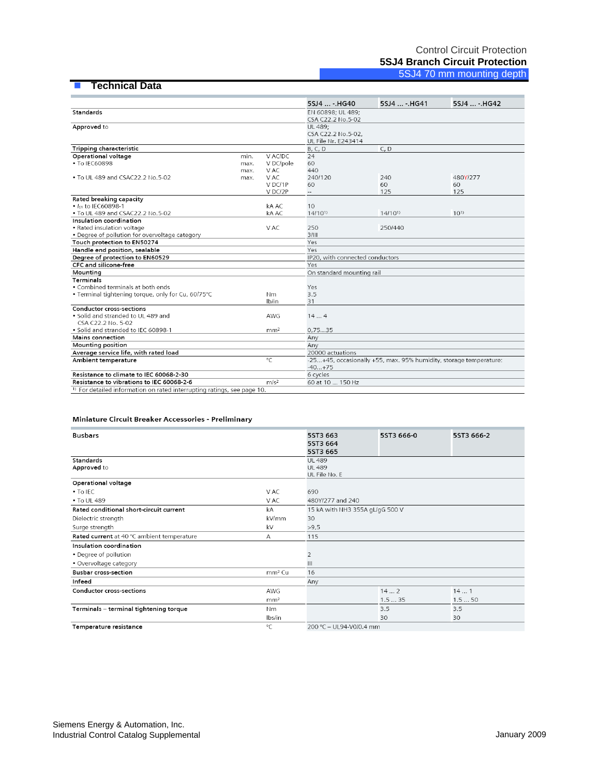### **Technical Data**

|                                                                                    |      |                  | 5SJ4  - HG40                    | 5SJ4  - HG41                                                      | 5SJ4  - HG42 |
|------------------------------------------------------------------------------------|------|------------------|---------------------------------|-------------------------------------------------------------------|--------------|
| <b>Standards</b>                                                                   |      |                  | EN 60898; UL 489;               |                                                                   |              |
|                                                                                    |      |                  | CSA C22.2 No.5-02               |                                                                   |              |
| Approved to                                                                        |      |                  | UL 489;                         |                                                                   |              |
|                                                                                    |      |                  | CSA C22.2 No.5-02,              |                                                                   |              |
|                                                                                    |      |                  | UL File Nr. E243414             |                                                                   |              |
| Tripping characteristic                                                            |      |                  | B, C, D                         | C, D                                                              |              |
| Operational voltage                                                                | min. | V AC/DC          | 24                              |                                                                   |              |
| • To IEC60898                                                                      | max. | V DC/pole        | 60                              |                                                                   |              |
|                                                                                    | max. | V AC             | 440                             |                                                                   |              |
| • To UL 489 and CSAC22.2 No.5-02                                                   | max. | V AC             | 240/120                         | 240                                                               | 480Y/277     |
|                                                                                    |      | VDC/1P           | 60                              | 60                                                                | 60           |
|                                                                                    |      | V DC/2P          |                                 | 125                                                               | 125          |
| Rated breaking capacity                                                            |      |                  |                                 |                                                                   |              |
| • Icn to IEC60898-1                                                                |      | kA AC            | 10                              |                                                                   |              |
| • To UL 489 and CSAC22.2 No.5-02                                                   |      | kA AC            | $14/10^{1}$                     | $14/10^{1}$                                                       | $10^{1}$     |
| Insulation coordination                                                            |      |                  |                                 |                                                                   |              |
| • Rated insulation voltage                                                         |      | V AC             | 250                             | 250/440                                                           |              |
| • Degree of pollution for overvoltage category                                     |      |                  | 3/III                           |                                                                   |              |
| Touch protection to EN50274                                                        |      |                  | Yes                             |                                                                   |              |
| Handle end position, sealable                                                      |      |                  | Yes                             |                                                                   |              |
| Degree of protection to EN60529                                                    |      |                  | IP20, with connected conductors |                                                                   |              |
| CFC and silicone-free                                                              |      |                  | Yes                             |                                                                   |              |
| Mounting                                                                           |      |                  | On standard mounting rail       |                                                                   |              |
| <b>Terminals</b>                                                                   |      |                  |                                 |                                                                   |              |
| • Combined terminals at both ends                                                  |      |                  | Yes                             |                                                                   |              |
| . Terminal tightening torque, only for Cu, 60/75°C                                 |      | Nm.              | 3.5                             |                                                                   |              |
|                                                                                    |      | lb/in            | 31                              |                                                                   |              |
| <b>Conductor cross-sections</b>                                                    |      |                  |                                 |                                                                   |              |
| • Solid and stranded to UL 489 and                                                 |      | AWG              | 144                             |                                                                   |              |
| CSA C22.2 No. 5-02                                                                 |      |                  |                                 |                                                                   |              |
| · Solid and stranded to IEC 60898-1                                                |      | mm <sup>2</sup>  | 0,7535                          |                                                                   |              |
| Mains connection                                                                   |      |                  | Anv                             |                                                                   |              |
| <b>Mounting position</b>                                                           |      |                  | Anv                             |                                                                   |              |
| Average service life, with rated load                                              |      |                  | 20000 actuations                |                                                                   |              |
| Ambient temperature                                                                |      | $^{\circ}$ C     |                                 | -25+45, occasionally +55, max. 95% humidity, storage temperature: |              |
|                                                                                    |      |                  | $-40+75$                        |                                                                   |              |
| Resistance to climate to IEC 60068-2-30                                            |      |                  | 6 cycles                        |                                                                   |              |
| Resistance to vibrations to IEC 60068-2-6                                          |      | m/s <sup>2</sup> | 60 at 10  150 Hz                |                                                                   |              |
| <sup>1)</sup> For detailed information on rated interrupting ratings, see page 10. |      |                  |                                 |                                                                   |              |

#### Miniature Circuit Breaker Accessories - Preliminary

| <b>Busbars</b>                             |                    | 5ST3 663<br>5ST3 664<br>5ST3 665                | 5ST3 666-0 | 5ST3 666-2 |  |  |
|--------------------------------------------|--------------------|-------------------------------------------------|------------|------------|--|--|
| Standards<br>Approved to                   |                    | <b>UL 489</b><br><b>UL 489</b><br>UL File No. E |            |            |  |  |
| Operational voltage                        |                    |                                                 |            |            |  |  |
| • To IEC                                   | V AC               | 690                                             |            |            |  |  |
| • To UL 489                                | V AC               | 480Y/277 and 240                                |            |            |  |  |
| Rated conditional short-circuit current    | kA                 | 15 kA with NH3 355A gL/gG 500 V                 |            |            |  |  |
| Dielectric strength                        | kV/mm              | 30                                              |            |            |  |  |
| Surge strength                             | kV                 | >9,5                                            |            |            |  |  |
| Rated current at 40 °C ambient temperature | Α                  | 115                                             |            |            |  |  |
| Insulation coordination                    |                    |                                                 |            |            |  |  |
| • Degree of pollution                      |                    | 2                                               |            |            |  |  |
| • Overvoltage category                     |                    | Ш                                               |            |            |  |  |
| <b>Busbar cross-section</b>                | mm <sup>2</sup> Cu | 16                                              |            |            |  |  |
| Infeed                                     |                    | Any                                             |            |            |  |  |
| <b>Conductor cross-sections</b>            | AWG                |                                                 | 142        | 141        |  |  |
|                                            | mm <sup>2</sup>    |                                                 | 1.535      | 1.550      |  |  |
| Terminals - terminal tightening torque     | N <sub>m</sub>     |                                                 | 3.5        | 3.5        |  |  |
|                                            | lbs/in             |                                                 | 30         | 30         |  |  |
| Temperature resistance                     | $^{\circ}$ C       | 200 °C - UL94-V0/0.4 mm                         |            |            |  |  |